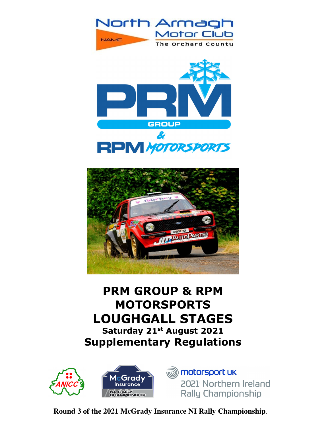





# **PRM GROUP & RPM MOTORSPORTS LOUGHGALL STAGES Saturday 21st August 2021 Supplementary Regulations**



**iiii)** motorsport uk 2021 Northern Ireland Rally Championship

**Round 3 of the 2021 McGrady Insurance NI Rally Championship**.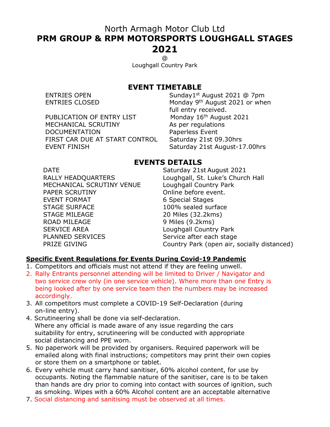## North Armagh Motor Club Ltd **PRM GROUP & RPM MOTORSPORTS LOUGHGALL STAGES 2021**

@

Loughgall Country Park

#### **EVENT TIMETABLE**

PUBLICATION OF ENTRY LIST Monday 16<sup>th</sup> August 2021 MECHANICAL SCRUTINY As per regulations DOCUMENTATION Paperless Event<br>FIRST CAR DUE AT START CONTROL Saturday 21st 09.30hrs FIRST CAR DUE AT START CONTROL EVENT FINISH Saturday 21st August-17.00hrs

ENTRIES OPEN Sunday1<sup>st</sup> August 2021 @ 7pm ENTRIES CLOSED Monday 9th August 2021 or when full entry received.

#### **EVENTS DETAILS**

MECHANICAL SCRUTINY VENUE PAPER SCRUTINY **CONSIDER SCRUTINY CONSIDER** Online before event. EVENT FORMAT 6 Special Stages STAGE SURFACE 100% sealed surface STAGE MILEAGE 20 Miles (32.2kms) ROAD MILEAGE 9 Miles (9.2kms) SERVICE AREA Loughgall Country Park PLANNED SERVICES Service after each stage

DATE Saturday 21st August 2021 RALLY HEADQUARTERS<br>MECHANICAL SCRUTINY VENUE Loughgall Country Park PRIZE GIVING Country Park (open air, socially distanced)

#### **Specific Event Regulations for Events During Covid-19 Pandemic**

- 1. Competitors and officials must not attend if they are feeling unwell.
- 2. Rally Entrants personnel attending will be limited to Driver / Navigator and two service crew only (in one service vehicle). Where more than one Entry is being looked after by one service team then the numbers may be increased accordingly.
- 3. All competitors must complete a COVID-19 Self-Declaration (during on-line entry).
- 4. Scrutineering shall be done via self-declaration. Where any official is made aware of any issue regarding the cars suitability for entry, scrutineering will be conducted with appropriate social distancing and PPE worn.
- 5. No paperwork will be provided by organisers. Required paperwork will be emailed along with final instructions; competitors may print their own copies or store them on a smartphone or tablet.
- 6. Every vehicle must carry hand sanitiser, 60% alcohol content, for use by occupants. Noting the flammable nature of the sanitiser, care is to be taken than hands are dry prior to coming into contact with sources of ignition, such as smoking. Wipes with a 60% Alcohol content are an acceptable alternative
- 7. Social distancing and sanitising must be observed at all times.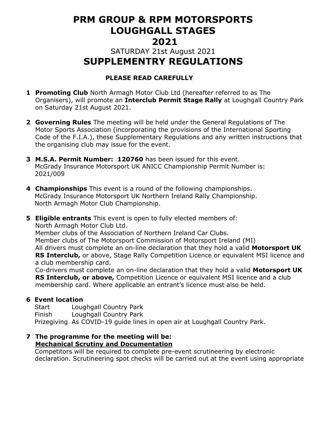## **PRM GROUP & RPM MOTORSPORTS LOUGHGALL STAGES 2021**

## SATURDAY 21st August 2021  **SUPPLEMENTRY REGULATIONS**

#### **PLEASE READ CAREFULLY**

- **1 Promoting Club** North Armagh Motor Club Ltd (hereafter referred to as The Organisers), will promote an **Interclub Permit Stage Rally** at Loughgall Country Park on Saturday 21st August 2021.
- **2 Governing Rules** The meeting will be held under the General Regulations of The Motor Sports Association (incorporating the provisions of the International Sporting Code of the F.I.A.), these Supplementary Regulations and any written instructions that the organising club may issue for the event.
- **3 M.S.A. Permit Number: 120760** has been issued for this event. McGrady Insurance Motorsport UK ANICC Championship Permit Number is: 2021/009
- **4 Championships** This event is a round of the following championships. McGrady Insurance Motorsport UK Northern Ireland Rally Championship. North Armagh Motor Club Championship.

**5 Eligible entrants** This event is open to fully elected members of: North Armagh Motor Club Ltd. Member clubs of the Association of Northern Ireland Car Clubs. Member clubs of The Motorsport Commission of Motorsport Ireland (MI) All drivers must complete an on-line declaration that they hold a valid **Motorsport UK RS Interclub,** or above, Stage Rally Competition Licence or equivalent MSI licence and a club membership card. Co-drivers must complete an on-line declaration that they hold a valid **Motorsport UK** 

**RS Interclub, or above,** Competition Licence or equivalent MSI licence and a club membership card. Where applicable an entrant's licence must also be held.

#### **6 Event location**

 Start Loughgall Country Park Finish Loughgall Country Park Prizegiving As COVID-19 guide lines in open air at Loughgall Country Park.

#### **7 The programme for the meeting will be: Mechanical Scrutiny and Documentation**

Competitors will be required to complete pre-event scrutineering by electronic declaration. Scrutineering spot checks will be carried out at the event using appropriate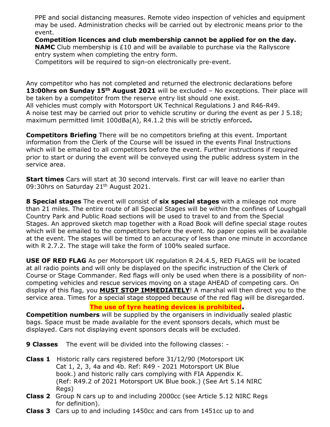PPE and social distancing measures. Remote video inspection of vehicles and equipment may be used. Administration checks will be carried out by electronic means prior to the event.

**Competition licences and club membership cannot be applied for on the day. NAMC** Club membership is £10 and will be available to purchase via the Rallyscore entry system when completing the entry form.

Competitors will be required to sign-on electronically pre-event.

Any competitor who has not completed and returned the electronic declarations before **13:00hrs on Sunday 15th August 2021** will be excluded – No exceptions. Their place will be taken by a competitor from the reserve entry list should one exist. All vehicles must comply with Motorsport UK Technical Regulations J and R46-R49. A noise test may be carried out prior to vehicle scrutiny or during the event as per J 5.18; maximum permitted limit 100dBa(A), R4.1.2 this will be strictly enforced**.** 

**Competitors Briefing** There will be no competitors briefing at this event. Important information from the Clerk of the Course will be issued in the events Final Instructions which will be emailed to all competitors before the event. Further instructions if required prior to start or during the event will be conveyed using the public address system in the service area.

**Start times** Cars will start at 30 second intervals. First car will leave no earlier than 09:30hrs on Saturday 21<sup>th</sup> August 2021.

**8 Special stages** The event will consist of **six special stages** with a mileage not more than 21 miles. The entire route of all Special Stages will be within the confines of Loughgall Country Park and Public Road sections will be used to travel to and from the Special Stages. An approved sketch map together with a Road Book will define special stage routes which will be emailed to the competitors before the event. No paper copies will be available at the event. The stages will be timed to an accuracy of less than one minute in accordance with R 2.7.2. The stage will take the form of 100% sealed surface.

**USE OF RED FLAG** As per Motorsport UK regulation R 24.4.5, RED FLAGS will be located at all radio points and will only be displayed on the specific instruction of the Clerk of Course or Stage Commander. Red flags will only be used when there is a possibility of noncompeting vehicles and rescue services moving on a stage AHEAD of competing cars. On display of this flag, you **MUST STOP IMMEDIATELY**! A marshal will then direct you to the service area. Times for a special stage stopped because of the red flag will be disregarded.

#### **The use of tyre heating devices is prohibited.**

**Competition numbers** will be supplied by the organisers in individually sealed plastic bags. Space must be made available for the event sponsors decals, which must be displayed. Cars not displaying event sponsors decals will be excluded.

**9 Classes** The event will be divided into the following classes: -

- **Class 1** Historic rally cars registered before 31/12/90 (Motorsport UK Cat 1, 2, 3, 4a and 4b. Ref: R49 - 2021 Motorsport UK Blue book.) and historic rally cars complying with FIA Appendix K. (Ref: R49.2 of 2021 Motorsport UK Blue book.) (See Art 5.14 NIRC Regs)
- **Class 2** Group N cars up to and including 2000cc (see Article 5.12 NIRC Regs for definition).
- **Class 3** Cars up to and including 1450cc and cars from 1451cc up to and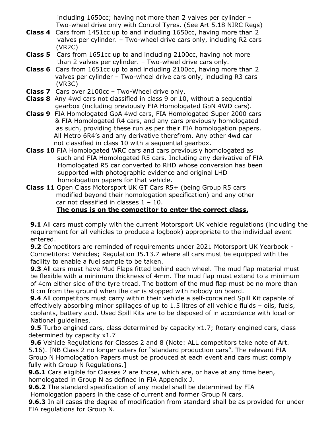including 1650cc; having not more than 2 valves per cylinder – Two-wheel drive only with Control Tyres. (See Art 5.18 NIRC Regs)

- **Class 4** Cars from 1451cc up to and including 1650cc, having more than 2 valves per cylinder. – Two-wheel drive cars only, including R2 cars (VR2C)
- **Class 5** Cars from 1651cc up to and including 2100cc, having not morethan 2 valves per cylinder. – Two-wheel drive cars only.
- **Class 6** Cars from 1651cc up to and including 2100cc, having more than 2 valves per cylinder – Two-wheel drive cars only, including R3 cars (VR3C)
- **Class 7** Cars over 2100cc Two-Wheel drive only.
- **Class 8** Any 4wd cars not classified in class 9 or 10, without a sequential gearbox (including previously FIA Homologated GpN 4WD cars).
- **Class 9** FIA Homologated GpA 4wd cars, FIA Homologated Super 2000 cars & FIA Homologated R4 cars, and any cars previously homologated as such, providing these run as per their FIA homologation papers. All Metro 6R4's and any derivative therefrom. Any other 4wd car not classified in class 10 with a sequential gearbox.
- **Class 10** FIA Homologated WRC cars and cars previously homologated as such and FIA Homologated R5 cars. Including any derivative of FIA Homologated R5 car converted to RHD whose conversion has been supported with photographic evidence and original LHD homologation papers for that vehicle.
- **Class 11** Open Class Motorsport UK GT Cars R5+ (being Group R5 cars modified beyond their homologation specification) and any other car not classified in classes  $1 - 10$ . **The onus is on the competitor to enter the correct class.**

**9.1** All cars must comply with the current Motorsport UK vehicle regulations (including the requirement for all vehicles to produce a logbook) appropriate to the individual event entered.

 **9.2** Competitors are reminded of requirements under 2021 Motorsport UK Yearbook - Competitors: Vehicles; Regulation J5.13.7 where all cars must be equipped with the facility to enable a fuel sample to be taken.

 **9.3** All cars must have Mud Flaps fitted behind each wheel. The mud flap material must be flexible with a minimum thickness of 4mm. The mud flap must extend to a minimum of 4cm either side of the tyre tread. The bottom of the mud flap must be no more than 8 cm from the ground when the car is stopped with nobody on board.

 **9.4** All competitors must carry within their vehicle a self-contained Spill Kit capable of effectively absorbing minor spillages of up to 1.5 litres of all vehicle fluids – oils, fuels, coolants, battery acid. Used Spill Kits are to be disposed of in accordance with local or National guidelines.

**9.5** Turbo engined cars, class determined by capacity x1.7; Rotary engined cars, class determined by capacity x1.7

 **9.6** Vehicle Regulations for Classes 2 and 8 (Note: ALL competitors take note of Art. 5.16). [NB Class 2 no longer caters for "standard production cars". The relevant FIA Group N Homologation Papers must be produced at each event and cars must comply fully with Group N Regulations.]

**9.6.1** Cars eligible for Classes 2 are those, which are, or have at any time been, homologated in Group N as defined in FIA Appendix J.

**9.6.2** The standard specification of any model shall be determined by FIA Homologation papers in the case of current and former Group N cars.

**9.6.3** In all cases the degree of modification from standard shall be as provided for under FIA regulations for Group N.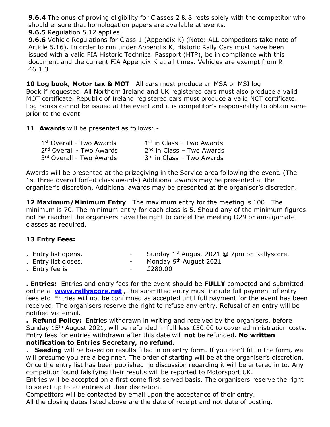**9.6.4** The onus of proving eligibility for Classes 2 & 8 rests solely with the competitor who should ensure that homologation papers are available at events.

**9.6.5** Regulation 5.12 applies.

**9.6.6** Vehicle Regulations for Class 1 (Appendix K) (Note: ALL competitors take note of Article 5.16). In order to run under Appendix K, Historic Rally Cars must have been issued with a valid FIA Historic Technical Passport (HTP), be in compliance with this document and the current FIA Appendix K at all times. Vehicles are exempt from R 46.1.3.

**10 Log book, Motor tax & MOT** All cars must produce an MSA or MSI log Book if requested. All Northern Ireland and UK registered cars must also produce a valid MOT certificate. Republic of Ireland registered cars must produce a valid NCT certificate. Log books cannot be issued at the event and it is competitor's responsibility to obtain same prior to the event.

**11 Awards** will be presented as follows: -

| 1st Overall - Two Awards             | $1st$ in Class – Two Awards           |
|--------------------------------------|---------------------------------------|
| 2 <sup>nd</sup> Overall - Two Awards | 2 <sup>nd</sup> in Class - Two Awards |
| 3rd Overall - Two Awards             | $3rd$ in Class – Two Awards           |

Awards will be presented at the prizegiving in the Service area following the event. (The 1st three overall forfeit class awards) Additional awards may be presented at the organiser's discretion. Additional awards may be presented at the organiser's discretion.

**12 Maximum/Minimum Entry**. The maximum entry for the meeting is 100. The minimum is 70. The minimum entry for each class is 5. Should any of the minimum figures not be reached the organisers have the right to cancel the meeting D29 or amalgamate classes as required.

#### **13 Entry Fees:**

|  | Entry list opens. |  | Sunday 1 <sup>st</sup> August 2021 @ 7pm on Rallyscore. |
|--|-------------------|--|---------------------------------------------------------|
|--|-------------------|--|---------------------------------------------------------|

- . Entry list closes.  $\blacksquare$  Monday 9<sup>th</sup> August 2021
- 
- . Entry fee is  $\overline{280.00}$

**. Entries:** Entries and entry fees for the event should be **FULLY** competed and submitted online at **www.rallyscore.net ,** the submitted entry must include full payment of entry fees etc. Entries will not be confirmed as accepted until full payment for the event has been received. The organisers reserve the right to refuse any entry. Refusal of an entry will be

notified via email.

**. Refund Policy:** Entries withdrawn in writing and received by the organisers, before Sunday 15<sup>th</sup> August 2021, will be refunded in full less £50.00 to cover administration costs. Entry fees for entries withdrawn after this date will **not** be refunded. **No written notification to Entries Secretary, no refund.** 

. **Seeding** will be based on results filled in on entry form. If you don't fill in the form, we will presume you are a beginner. The order of starting will be at the organiser's discretion. Once the entry list has been published no discussion regarding it will be entered in to. Any competitor found falsifying their results will be reported to Motorsport UK.

Entries will be accepted on a first come first served basis. The organisers reserve the right to select up to 20 entries at their discretion.

Competitors will be contacted by email upon the acceptance of their entry. All the closing dates listed above are the date of receipt and not date of posting.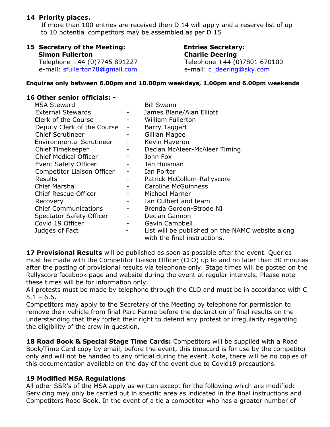#### **14 Priority places.**

 If more than 100 entries are received then D 14 will apply and a reserve list of up to 10 potential competitors may be assembled as per D 15

# **15 Secretary of the Meeting: Entries Secretary:**

# **Charlie Deering**

 Telephone +44 (0)7745 891227 Telephone +44 (0)7801 670100 e-mail: sfullerton78@gmail.com e-mail: c\_deering@sky.com

#### **Enquires only between 6.00pm and 10.00pm weekdays, 1.00pm and 6.00pm weekends**

#### **16 Other senior officials: -**

| <b>MSA Steward</b>              |   | <b>Bill Swann</b>                                                                |
|---------------------------------|---|----------------------------------------------------------------------------------|
| <b>External Stewards</b>        |   | James Blane/Alan Elliott                                                         |
| <b>Clerk of the Course</b>      |   | <b>William Fullerton</b>                                                         |
| Deputy Clerk of the Course      |   | Barry Taggart                                                                    |
| <b>Chief Scrutineer</b>         |   | Gillian Magee                                                                    |
| <b>Environmental Scrutineer</b> |   | Kevin Haveron                                                                    |
| <b>Chief Timekeeper</b>         |   | Declan McAleer-McAleer Timing                                                    |
| <b>Chief Medical Officer</b>    |   | John Fox                                                                         |
| <b>Event Safety Officer</b>     |   | Jan Huisman                                                                      |
| Competitor Liaison Officer      |   | Ian Porter                                                                       |
| <b>Results</b>                  |   | Patrick McCollum-Rallyscore                                                      |
| <b>Chief Marshal</b>            |   | <b>Caroline McGuinness</b>                                                       |
| <b>Chief Rescue Officer</b>     |   | Michael Marner                                                                   |
| Recovery                        |   | Ian Culbert and team                                                             |
| <b>Chief Communications</b>     |   | Brenda Gordon-Strode NI                                                          |
| Spectator Safety Officer        |   | Declan Gannon                                                                    |
| Covid 19 Officer                | - | Gavin Campbell                                                                   |
| Judges of Fact                  | - | List will be published on the NAMC website along<br>with the final instructions. |

17 Provisional Results will be published as soon as possible after the event. Queries must be made with the Competitor Liaison Officer (CLO) up to and no later than 30 minutes after the posting of provisional results via telephone only. Stage times will be posted on the Rallyscore facebook page and website during the event at regular intervals. Please note these times will be for information only.

All protests must be made by telephone through the CLO and must be in accordance with C  $5.1 - 6.6$ .

Competitors may apply to the Secretary of the Meeting by telephone for permission to remove their vehicle from final Parc Ferme before the declaration of final results on the understanding that they forfeit their right to defend any protest or irregularity regarding the eligibility of the crew in question.

18 Road Book & Special Stage Time Cards: Competitors will be supplied with a Road Book/Time Card copy by email, before the event, this timecard is for use by the competitor only and will not be handed to any official during the event. Note, there will be no copies of this documentation available on the day of the event due to Covid19 precautions.

#### **19 Modified MSA Regulations**

All other SSR's of the MSA apply as written except for the following which are modified: Servicing may only be carried out in specific area as indicated in the final instructions and Competitors Road Book. In the event of a tie a competitor who has a greater number of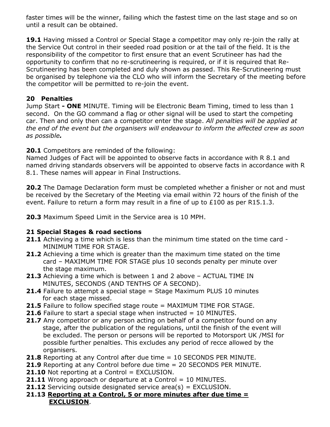faster times will be the winner, failing which the fastest time on the last stage and so on until a result can be obtained.

**19.1** Having missed a Control or Special Stage a competitor may only re-join the rally at the Service Out control in their seeded road position or at the tail of the field. It is the responsibility of the competitor to first ensure that an event Scrutineer has had the opportunity to confirm that no re-scrutineering is required, or if it is required that Re-Scrutineering has been completed and duly shown as passed. This Re-Scrutineering must be organised by telephone via the CLO who will inform the Secretary of the meeting before the competitor will be permitted to re-join the event.

#### **20 Penalties**

Jump Start **- ONE** MINUTE. Timing will be Electronic Beam Timing, timed to less than 1 second. On the GO command a flag or other signal will be used to start the competing car. Then and only then can a competitor enter the stage. *All penalties will be applied at the end of the event but the organisers will endeavour to inform the affected crew as soon as possible.* 

**20.1** Competitors are reminded of the following:

Named Judges of Fact will be appointed to observe facts in accordance with R 8.1 and named driving standards observers will be appointed to observe facts in accordance with R 8.1. These names will appear in Final Instructions.

**20.2** The Damage Declaration form must be completed whether a finisher or not and must be received by the Secretary of the Meeting via email within 72 hours of the finish of the event. Failure to return a form may result in a fine of up to £100 as per R15.1.3.

**20.3** Maximum Speed Limit in the Service area is 10 MPH.

#### **21 Special Stages & road sections**

- **21.1** Achieving a time which is less than the minimum time stated on the time card MINIMUM TIME FOR STAGE.
- **21.2** Achieving a time which is greater than the maximum time stated on the time card – MAXIMUM TIME FOR STAGE plus 10 seconds penalty per minute over the stage maximum.
- **21.3** Achieving a time which is between 1 and 2 above ACTUAL TIME IN MINUTES, SECONDS (AND TENTHS OF A SECOND).
- **21.4** Failure to attempt a special stage = Stage Maximum PLUS 10 minutes for each stage missed.
- **21.5** Failure to follow specified stage route = MAXIMUM TIME FOR STAGE.
- **21.6** Failure to start a special stage when instructed = 10 MINUTES.
- **21.7** Any competitor or any person acting on behalf of a competitor found on any stage, after the publication of the regulations, until the finish of the event will be excluded. The person or persons will be reported to Motorsport UK /MSI for possible further penalties. This excludes any period of recce allowed by the organisers.
- **21.8** Reporting at any Control after due time = 10 SECONDS PER MINUTE.
- **21.9** Reporting at any Control before due time = 20 SECONDS PER MINUTE.
- **21.10** Not reporting at a Control = EXCLUSION.
- **21.11** Wrong approach or departure at a Control = 10 MINUTES.
- **21.12** Servicing outside designated service area(s) = EXCLUSION.
- **21.13 Reporting at a Control, 5 or more minutes after due time = EXCLUSION**.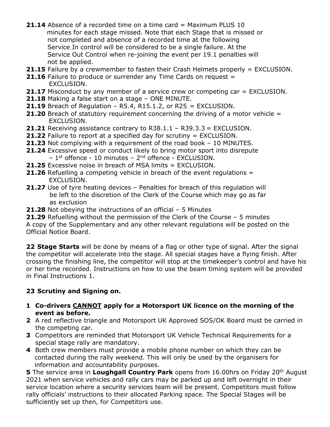- **21.14** Absence of a recorded time on a time card = Maximum PLUS 10 minutes for each stage missed. Note that each Stage that is missed or not completed and absence of a recorded time at the following Service In control will be considered to be a single failure. At the Service Out Control when re-joining the event per 19.1 penalties will not be applied.
- **21.15** Failure by a crewmember to fasten their Crash Helmets properly = EXCLUSION.
- **21.16** Failure to produce or surrender any Time Cards on request = EXCLUSION.
- **21.17** Misconduct by any member of a service crew or competing car = EXCLUSION.
- **21.18** Making a false start on a stage ONE MINUTE.
- **21.19** Breach of Regulation R5.4, R15.1.2, or R25. = EXCLUSION.
- **21.20** Breach of statutory requirement concerning the driving of a motor vehicle = EXCLUSION.
- **21.21** Receiving assistance contrary to R38.1.1 R39.3.3 = EXCLUSION.
- **21.22** Failure to report at a specified day for scrutiny = EXCLUSION.
- **21.23** Not complying with a requirement of the road book 10 MINUTES.
- **21.24** Excessive speed or conduct likely to bring motor sport into disrepute
	- 1st offence 10 minutes 2nd offence EXCLUSION.
- **21.25** Excessive noise in breach of MSA limits = EXCLUSION.
- **21.26** Refuelling a competing vehicle in breach of the event regulations = EXCLUSION.
- **21.27** Use of tyre heating devices Penalties for breach of this regulation will be left to the discretion of the Clerk of the Course which may go as far as exclusion
- **21.28** Not obeying the instructions of an official 5 Minutes

**21.29** Refuelling without the permission of the Clerk of the Course – 5 minutes A copy of the Supplementary and any other relevant regulations will be posted on the Official Notice Board.

**22 Stage Starts** will be done by means of a flag or other type of signal. After the signal the competitor will accelerate into the stage. All special stages have a flying finish. After crossing the finishing line, the competitor will stop at the timekeeper's control and have his or her time recorded. Instructions on how to use the beam timing system will be provided in Final Instructions 1.

#### **23 Scrutiny and Signing on.**

- **1 Co-drivers CANNOT apply for a Motorsport UK licence on the morning of the event as before.**
- **2** A red reflective triangle and Motorsport UK Approved SOS/OK Board must be carried in the competing car.
- **3** Competitors are reminded that Motorsport UK Vehicle Technical Requirements for a special stage rally are mandatory.
- **4** Both crew members must provide a mobile phone number on which they can be contacted during the rally weekend. This will only be used by the organisers for information and accountability purposes.

**5** The service area in Loughgall Country Park opens from 16.00hrs on Friday 20<sup>th</sup> August 2021 when service vehicles and rally cars may be parked up and left overnight in their service location where a security services team will be present. Competitors must follow rally officials' instructions to their allocated Parking space. The Special Stages will be sufficiently set up then, for Competitors use.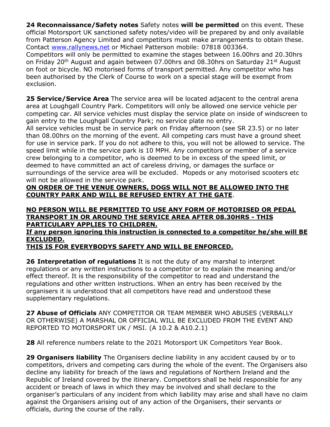**24 Reconnaissance/Safety notes** Safety notes **will be permitted** on this event. These official Motorsport UK sanctioned safety notes/video will be prepared by and only available from Patterson Agency Limited and competitors must make arrangements to obtain these. Contact www.rallynews.net or Michael Patterson mobile: 07818 003364.

Competitors will only be permitted to examine the stages between 16.00hrs and 20.30hrs on Friday 20<sup>th</sup> August and again between 07.00hrs and 08.30hrs on Saturday 21<sup>st</sup> August on foot or bicycle. NO motorised forms of transport permitted. Any competitor who has been authorised by the Clerk of Course to work on a special stage will be exempt from exclusion.

**25 Service/Service Area** The service area will be located adjacent to the central arena area at Loughgall Country Park. Competitors will only be allowed one service vehicle per competing car. All service vehicles must display the service plate on inside of windscreen to gain entry to the Loughgall Country Park; no service plate no entry.

All service vehicles must be in service park on Friday afternoon (see SR 23.5) or no later than 08.00hrs on the morning of the event. All competing cars must have a ground sheet for use in service park. If you do not adhere to this, you will not be allowed to service. The speed limit while in the service park is 10 MPH. Any competitors or member of a service crew belonging to a competitor, who is deemed to be in excess of the speed limit, or deemed to have committed an act of careless driving, or damages the surface or surroundings of the service area will be excluded. Mopeds or any motorised scooters etc will not be allowed in the service park.

**ON ORDER OF THE VENUE OWNERS, DOGS WILL NOT BE ALLOWED INTO THE COUNTRY PARK AND WILL BE REFUSED ENTRY AT THE GATE**.

#### **NO PERSON WILL BE PERMITTED TO USE ANY FORM OF MOTORISED OR PEDAL TRANSPORT IN OR AROUND THE SERVICE AREA AFTER 08.30HRS - THIS PARTICULARY APPLIES TO CHILDREN.**

**If any person ignoring this instruction is connected to a competitor he/she will BE EXCLUDED.** 

#### **THIS IS FOR EVERYBODYS SAFETY AND WILL BE ENFORCED.**

**26 Interpretation of regulations** It is not the duty of any marshal to interpret regulations or any written instructions to a competitor or to explain the meaning and/or effect thereof. It is the responsibility of the competitor to read and understand the regulations and other written instructions. When an entry has been received by the organisers it is understood that all competitors have read and understood these supplementary regulations.

**27 Abuse of Officials** ANY COMPETITOR OR TEAM MEMBER WHO ABUSES (VERBALLY OR OTHERWISE) A MARSHAL OR OFFICIAL WILL BE EXCLUDED FROM THE EVENT AND REPORTED TO MOTORSPORT UK / MSI. (A 10.2 & A10.2.1)

**28** All reference numbers relate to the 2021 Motorsport UK Competitors Year Book.

**29 Organisers liability** The Organisers decline liability in any accident caused by or to competitors, drivers and competing cars during the whole of the event. The Organisers also decline any liability for breach of the laws and regulations of Northern Ireland and the Republic of Ireland covered by the itinerary. Competitors shall be held responsible for any accident or breach of laws in which they may be involved and shall declare to the organiser's particulars of any incident from which liability may arise and shall have no claim against the Organisers arising out of any action of the Organisers, their servants or officials, during the course of the rally.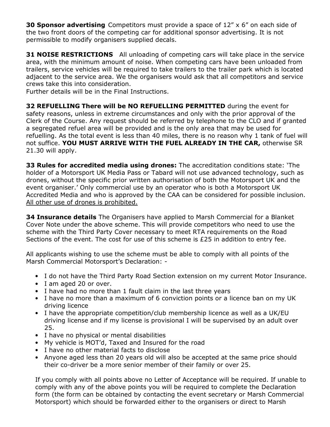**30 Sponsor advertising** Competitors must provide a space of 12" x 6" on each side of the two front doors of the competing car for additional sponsor advertising. It is not permissible to modify organisers supplied decals.

**31 NOISE RESTRICTIONS** All unloading of competing cars will take place in the service area, with the minimum amount of noise. When competing cars have been unloaded from trailers, service vehicles will be required to take trailers to the trailer park which is located adjacent to the service area. We the organisers would ask that all competitors and service crews take this into consideration.

Further details will be in the Final Instructions.

**32 REFUELLING There will be NO REFUELLING PERMITTED** during the event for safety reasons, unless in extreme circumstances and only with the prior approval of the Clerk of the Course. Any request should be referred by telephone to the CLO and if granted a segregated refuel area will be provided and is the only area that may be used for refuelling. As the total event is less than 40 miles, there is no reason why 1 tank of fuel will not suffice. **YOU MUST ARRIVE WITH THE FUEL ALREADY IN THE CAR,** otherwise SR 21.30 will apply.

**33 Rules for accredited media using drones:** The accreditation conditions state: 'The holder of a Motorsport UK Media Pass or Tabard will not use advanced technology, such as drones, without the specific prior written authorisation of both the Motorsport UK and the event organiser.' Only commercial use by an operator who is both a Motorsport UK Accredited Media and who is approved by the CAA can be considered for possible inclusion. All other use of drones is prohibited.

**34 Insurance details** The Organisers have applied to Marsh Commercial for a Blanket Cover Note under the above scheme. This will provide competitors who need to use the scheme with the Third Party Cover necessary to meet RTA requirements on the Road Sections of the event. The cost for use of this scheme is £25 in addition to entry fee.

All applicants wishing to use the scheme must be able to comply with all points of the Marsh Commercial Motorsport's Declaration: -

- I do not have the Third Party Road Section extension on my current Motor Insurance.
- I am aged 20 or over.
- I have had no more than 1 fault claim in the last three years
- I have no more than a maximum of 6 conviction points or a licence ban on my UK driving licence
- I have the appropriate competition/club membership licence as well as a UK/EU driving license and if my license is provisional I will be supervised by an adult over 25.
- I have no physical or mental disabilities
- My vehicle is MOT'd, Taxed and Insured for the road
- I have no other material facts to disclose
- Anyone aged less than 20 years old will also be accepted at the same price should their co-driver be a more senior member of their family or over 25.

If you comply with all points above no Letter of Acceptance will be required. If unable to comply with any of the above points you will be required to complete the Declaration form (the form can be obtained by contacting the event secretary or Marsh Commercial Motorsport) which should be forwarded either to the organisers or direct to Marsh